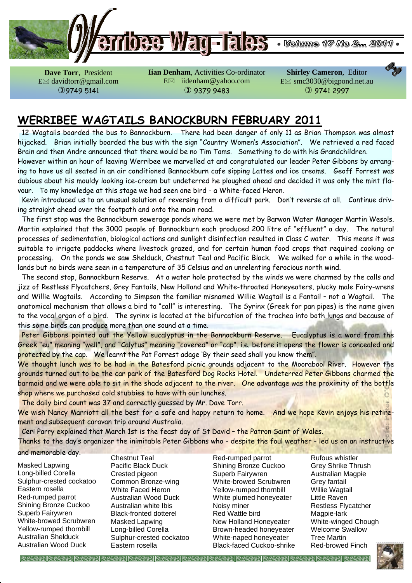

**Dave Torr**, President E davidtorr@gmail.com 9749 5141

**Iian Denham**, Activities Co-ordinator E⊠ iidenham@yahoo.com  9379 9483

**Shirley Cameron**, Editor E smc3030@bigpond.net.au  9741 2997

## **WERRIBEE WAGTAILS BANOCKBURN FEBRUARY 2011**

 12 Wagtails boarded the bus to Bannockburn. There had been danger of only 11 as Brian Thompson was almost hijacked. Brian initially boarded the bus with the sign "Country Women's Association". We retrieved a red faced Brain and then Andre announced that there would be no Tim Tams. Something to do with his Grandchildren.

However within an hour of leaving Werribee we marvelled at and congratulated our leader Peter Gibbons by arranging to have us all seated in an air conditioned Bannockburn cafe sipping Lattes and ice creams. Geoff Forrest was dubious about his mouldy looking ice-cream but undeterred he ploughed ahead and decided it was only the mint flavour. To my knowledge at this stage we had seen one bird - a White-faced Heron.

 Kevin introduced us to an unusual solution of reversing from a difficult park. Don't reverse at all. Continue driving straight ahead over the footpath and onto the main road.

 The first stop was the Bannockburn sewerage ponds where we were met by Barwon Water Manager Martin Wesols. Martin explained that the 3000 people of Bannockburn each produced 200 litre of "effluent" a day. The natural processes of sedimentation, biological actions and sunlight disinfection resulted in Class C water. This means it was suitable to irrigate paddocks where livestock grazed, and for certain human food crops that required cooking or processing. On the ponds we saw Shelduck, Chestnut Teal and Pacific Black. We walked for a while in the woodlands but no birds were seen in a temperature of 35 Celsius and an unrelenting ferocious north wind.

 The second stop, Bannockburn Reserve. At a water hole protected by the winds we were charmed by the calls and jizz of Restless Flycatchers, Grey Fantails, New Holland and White-throated Honeyeaters, plucky male Fairy-wrens and Willie Wagtails. According to Simpson the familiar misnamed Willie Wagtail is a Fantail – not a Wagtail. The anatomical mechanism that allows a bird to "call" is interesting. The Syrinx (Greek for pan pipes) is the name given to the vocal organ of a bird. The syrinx is located at the bifurcation of the trachea into both lungs and because of this some birds can produce more than one sound at a time.

Peter Gibbons pointed out the Yellow eucalyptus in the Bannockburn Reserve. Eucalyptus is a word from the Greek "eu" meaning "well", and "Calytus" meaning "covered" or "cap". i.e. before it opens the flower is concealed and protected by the cap. We learnt the Pat Forrest adage 'By their seed shall you know them".

We thought lunch was to be had in the Batesford picnic grounds adjacent to the Moorabool River. However the grounds turned out to be the car park of the Batesford Dog Rocks Hotel. Undeterred Peter Gibbons charmed the barmaid and we were able to sit in the shade adjacent to the river. One advantage was the proximity of the bottle shop where we purchased cold stubbies to have with our lunches.

The daily bird count was 37 and correctly guessed by Mr. Dave Torr.

We wish Nancy Marriott all the best for a safe and happy return to home. And we hope Kevin enjoys his retirement and subsequent caravan trip around Australia.

Ceri Parry explained that March 1st is the feast day of St David – the Patron Saint of Wales.

Thanks to the day's organizer the inimitable Peter Gibbons who - despite the foul weather - led us on an instructive and memorable day.

Masked Lapwing Long-billed Corella Sulphur-crested cockatoo Eastern rosella Red-rumped parrot Shining Bronze Cuckoo Superb Fairywren White-browed Scrubwren Yellow-rumped thornbill Australian Shelduck Australian Wood Duck

Chestnut Teal Pacific Black Duck Crested pigeon Common Bronze-wing White Faced Heron Australian Wood Duck Australian white Ibis Black-fronted dotterel Masked Lapwing Long-billed Corella Sulphur-crested cockatoo Eastern rosella

Red-rumped parrot Shining Bronze Cuckoo Superb Fairywren White-browed Scrubwren Yellow-rumped thornbill White plumed honeyeater Noisy miner Red Wattle bird New Holland Honeyeater Brown-headed honeyeater White-naped honeyeater Black-faced Cuckoo-shrike

Rufous whistler Grey Shrike Thrush Australian Magpie Grey fantail Willie Wagtail Little Raven Restless Flycatcher Magpie-lark White-winged Chough Welcome Swallow Tree Martin Red-browed Finch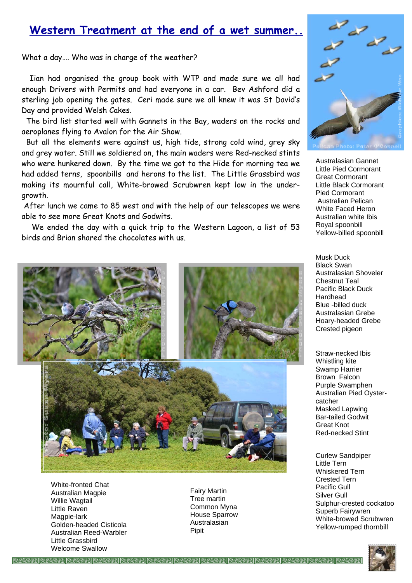## **Western Treatment at the end of a wet summer..**

What a day…. Who was in charge of the weather?

 Iian had organised the group book with WTP and made sure we all had enough Drivers with Permits and had everyone in a car. Bev Ashford did a sterling job opening the gates. Ceri made sure we all knew it was St David's Day and provided Welsh Cakes.

 The bird list started well with Gannets in the Bay, waders on the rocks and aeroplanes flying to Avalon for the Air Show.

 But all the elements were against us, high tide, strong cold wind, grey sky and grey water. Still we soldiered on, the main waders were Red-necked stints who were hunkered down. By the time we got to the Hide for morning tea we had added terns, spoonbills and herons to the list. The Little Grassbird was making its mournful call, White-browed Scrubwren kept low in the undergrowth.

 After lunch we came to 85 west and with the help of our telescopes we were able to see more Great Knots and Godwits.

 We ended the day with a quick trip to the Western Lagoon, a list of 53 birds and Brian shared the chocolates with us.



White-fronted Chat Australian Magpie Willie Wagtail Little Raven Magpie-lark Golden-headed Cisticola Australian Reed-Warbler Little Grassbird Welcome Swallow

Fairy Martin Tree martin Common Myna House Sparrow Australasian Pipit



Australasian Gannet Little Pied Cormorant Great Cormorant Little Black Cormorant Pied Cormorant Australian Pelican White Faced Heron Australian white Ibis Royal spoonbill Yellow-billed spoonbill

Musk Duck Black Swan Australasian Shoveler Chestnut Teal Pacific Black Duck Hardhead Blue -billed duck Australasian Grebe Hoary-headed Grebe Crested pigeon

Straw-necked Ibis Whistling kite Swamp Harrier Brown Falcon Purple Swamphen Australian Pied Oystercatcher Masked Lapwing Bar-tailed Godwit Great Knot Red-necked Stint

Curlew Sandpiper Little Tern Whiskered Tern Crested Tern Pacific Gull Silver Gull Sulphur-crested cockatoo Superb Fairywren White-browed Scrubwren Yellow-rumped thornbill

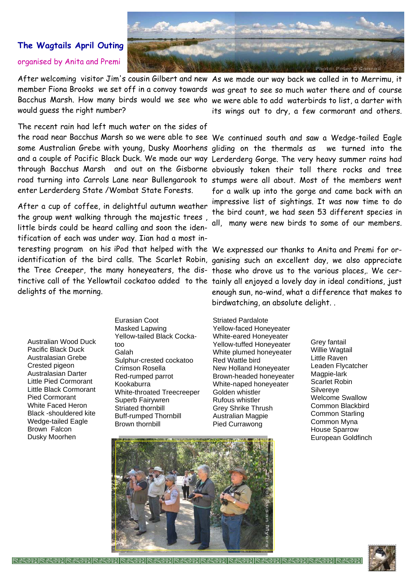

#### **The Wagtails April Outing**  organised by Anita and Premi

would guess the right number?

After welcoming visitor Jim's cousin Gilbert and new As we made our way back we called in to Merrimu, it member Fiona Brooks we set off in a convoy towards was great to see so much water there and of course Bacchus Marsh. How many birds would we see who we were able to add waterbirds to list, a darter with its wings out to dry, a few cormorant and others.

The recent rain had left much water on the sides of the road near Bacchus Marsh so we were able to see We continued south and saw a Wedge-tailed Eagle some Australian Grebe with young, Dusky Moorhens gliding on the thermals as we turned into the and a couple of Pacific Black Duck. We made our way Lerderderg Gorge. The very heavy summer rains had through Bacchus Marsh and out on the Gisborne obviously taken their toll there rocks and tree road turning into Carrols Lane near Bullengarook to stumps were all about. Most of the members went enter Lerderderg State /Wombat State Forests.

After a cup of coffee, in delightful autumn weather the group went walking through the majestic trees , little birds could be heard calling and soon the identification of each was under way. Iian had a most interesting program on his iPod that helped with the We expressed our thanks to Anita and Premi for orthe Tree Creeper, the many honeyeaters, the dis- those who drove us to the various places,. We cerdelights of the morning.

for a walk up into the gorge and came back with an impressive list of sightings. It was now time to do the bird count, we had seen 53 different species in all, many were new birds to some of our members.

identification of the bird calls. The Scarlet Robin, ganising such an excellent day, we also appreciate tinctive call of the Yellowtail cockatoo added to the tainly all enjoyed a lovely day in ideal conditions, just enough sun, no-wind, what a difference that makes to birdwatching, an absolute delight. .

Australian Wood Duck Pacific Black Duck Australasian Grebe Crested pigeon Australasian Darter Little Pied Cormorant Little Black Cormorant Pied Cormorant White Faced Heron Black -shouldered kite Wedge-tailed Eagle Brown Falcon Dusky Moorhen

Eurasian Coot Masked Lapwing Yellow-tailed Black Cockatoo Galah Sulphur-crested cockatoo Crimson Rosella Red-rumped parrot Kookaburra White-throated Treecreeper Superb Fairywren Striated thornbill Buff-rumped Thornbill Brown thornbill

Striated Pardalote Yellow-faced Honeyeater White-eared Honeyeater Yellow-tuffed Honeyeater White plumed honeyeater Red Wattle bird New Holland Honeyeater Brown-headed honeyeater White-naped honeyeater Golden whistler Rufous whistler Grey Shrike Thrush Australian Magpie Pied Currawong

Grey fantail Willie Wagtail Little Raven Leaden Flycatcher Magpie-lark Scarlet Robin Silvereye Welcome Swallow Common Blackbird Common Starling Common Myna House Sparrow European Goldfinch